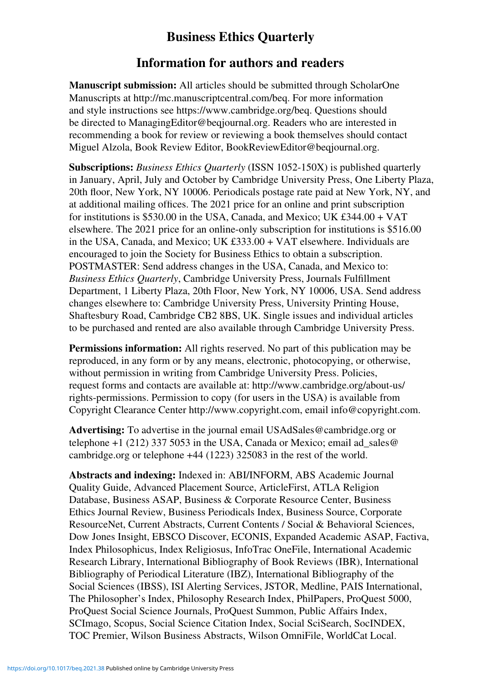## **Business Ethics Quarterly**

## **Information for authors and readers**

**Manuscript submission:** All articles should be submitted through ScholarOne Manuscripts at http://mc.manuscriptcentral.com/beq. For more information and style instructions see https://www.cambridge.org/beq. Questions should be directed to ManagingEditor@beqjournal.org. Readers who are interested in recommending a book for review or reviewing a book themselves should contact Miguel Alzola, Book Review Editor, BookReviewEditor@beqjournal.org.

**Subscriptions:** *Business Ethics Quarterly* (ISSN 1052-150X) is published quarterly in January, April, July and October by Cambridge University Press, One Liberty Plaza, 20th floor, New York, NY 10006. Periodicals postage rate paid at New York, NY, and at additional mailing offices. The 2021 price for an online and print subscription for institutions is \$530.00 in the USA, Canada, and Mexico; UK £344.00 + VAT elsewhere. The 2021 price for an online-only subscription for institutions is \$516.00 in the USA, Canada, and Mexico; UK £333.00 + VAT elsewhere. Individuals are encouraged to join the Society for Business Ethics to obtain a subscription. POSTMASTER: Send address changes in the USA, Canada, and Mexico to: **Business Ethics Quarterly, Cambridge University Press, Journals Fulfillment** Department, 1 Liberty Plaza, 20th Floor, New York, NY 10006, USA. Send address changes elsewhere to: Cambridge University Press, University Printing House, Shaftesbury Road, Cambridge CB2 8BS, UK. Single issues and individual articles to be purchased and rented are also available through Cambridge University Press.

**Permissions information:** All rights reserved. No part of this publication may be reproduced, in any form or by any means, electronic, photocopying, or otherwise, without permission in writing from Cambridge University Press. Policies, request forms and contacts are available at: http://www.cambridge.org/about-us/ rights-permissions. Permission to copy (for users in the USA) is available from Copyright Clearance Center http://www.copyright.com, email info@copyright.com.

**Advertising:** To advertise in the journal email USAdSales@cambridge.org or telephone +1 (212) 337 5053 in the USA, Canada or Mexico; email ad\_sales@ cambridge.org or telephone +44 (1223) 325083 in the rest of the world.

**Abstracts and indexing:** Indexed in: ABI/INFORM, ABS Academic Journal Quality Guide, Advanced Placement Source, ArticleFirst, ATLA Religion Database, Business ASAP, Business & Corporate Resource Center, Business Ethics Journal Review, Business Periodicals Index, Business Source, Corporate ResourceNet, Current Abstracts, Current Contents / Social & Behavioral Sciences, Dow Jones Insight, EBSCO Discover, ECONIS, Expanded Academic ASAP, Factiva, Index Philosophicus, Index Religiosus, InfoTrac OneFile, International Academic Research Library, International Bibliography of Book Reviews (IBR), International Bibliography of Periodical Literature (IBZ), International Bibliography of the Social Sciences (IBSS), ISI Alerting Services, JSTOR, Medline, PAIS International, The Philosopher's Index, Philosophy Research Index, PhilPapers, ProQuest 5000, ProQuest Social Science Journals, ProQuest Summon, Public Affairs Index, SCImago, Scopus, Social Science Citation Index, Social SciSearch, SocINDEX, TOC Premier, Wilson Business Abstracts, Wilson OmniFile, WorldCat Local.